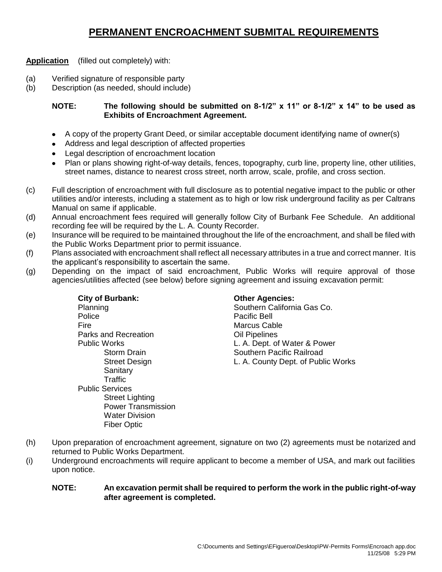# **PERMANENT ENCROACHMENT SUBMITAL REQUIREMENTS**

**Application** (filled out completely) with:

- (a) Verified signature of responsible party
- (b) Description (as needed, should include)

### **NOTE: The following should be submitted on 8-1/2" x 11" or 8-1/2" x 14" to be used as Exhibits of Encroachment Agreement.**

- A copy of the property Grant Deed, or similar acceptable document identifying name of owner(s)
- Address and legal description of affected properties
- Legal description of encroachment location  $\bullet$
- Plan or plans showing right-of-way details, fences, topography, curb line, property line, other utilities, street names, distance to nearest cross street, north arrow, scale, profile, and cross section.
- (c) Full description of encroachment with full disclosure as to potential negative impact to the public or other utilities and/or interests, including a statement as to high or low risk underground facility as per Caltrans Manual on same if applicable.
- (d) Annual encroachment fees required will generally follow City of Burbank Fee Schedule. An additional recording fee will be required by the L. A. County Recorder.
- (e) Insurance will be required to be maintained throughout the life of the encroachment, and shall be filed with the Public Works Department prior to permit issuance.
- (f) Plans associated with encroachment shall reflect all necessary attributes in a true and correct manner. It is the applicant's responsibility to ascertain the same.
- (g) Depending on the impact of said encroachment, Public Works will require approval of those agencies/utilities affected (see below) before signing agreement and issuing excavation permit:

| <b>City of Burbank:</b>     | <b>Other Agencies:</b>             |
|-----------------------------|------------------------------------|
| Planning                    | Southern California Gas Co.        |
| Police                      | <b>Pacific Bell</b>                |
| Fire                        | Marcus Cable                       |
| <b>Parks and Recreation</b> | Oil Pipelines                      |
| Public Works                | L. A. Dept. of Water & Power       |
| <b>Storm Drain</b>          | Southern Pacific Railroad          |
| <b>Street Design</b>        | L. A. County Dept. of Public Works |
| Sanitary                    |                                    |
| Traffic                     |                                    |
| <b>Public Services</b>      |                                    |
| <b>Street Lighting</b>      |                                    |
| <b>Power Transmission</b>   |                                    |
| <b>Water Division</b>       |                                    |
| <b>Fiber Optic</b>          |                                    |

- (h) Upon preparation of encroachment agreement, signature on two (2) agreements must be notarized and returned to Public Works Department.
- (i) Underground encroachments will require applicant to become a member of USA, and mark out facilities upon notice.

#### **NOTE: An excavation permit shall be required to perform the work in the public right-of-way after agreement is completed.**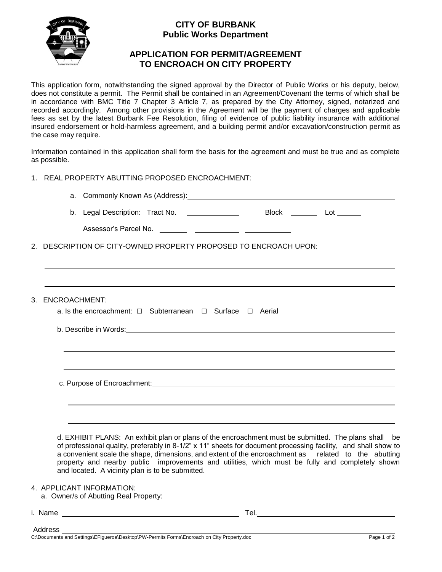

## **CITY OF BURBANK Public Works Department**

## **APPLICATION FOR PERMIT/AGREEMENT TO ENCROACH ON CITY PROPERTY**

This application form, notwithstanding the signed approval by the Director of Public Works or his deputy, below, does not constitute a permit. The Permit shall be contained in an Agreement/Covenant the terms of which shall be in accordance with BMC Title 7 Chapter 3 Article 7, as prepared by the City Attorney, signed, notarized and recorded accordingly. Among other provisions in the Agreement will be the payment of charges and applicable fees as set by the latest Burbank Fee Resolution, filing of evidence of public liability insurance with additional insured endorsement or hold-harmless agreement, and a building permit and/or excavation/construction permit as the case may require.

Information contained in this application shall form the basis for the agreement and must be true and as complete as possible.

- 1. REAL PROPERTY ABUTTING PROPOSED ENCROACHMENT:
	- a. Commonly Known As (Address):

| b. Legal Description: Tract No. |  | <b>Block</b> |  |
|---------------------------------|--|--------------|--|

| Assessor's Parcel No. |  |  |
|-----------------------|--|--|
|                       |  |  |

2. DESCRIPTION OF CITY-OWNED PROPERTY PROPOSED TO ENCROACH UPON:

|  |  | 3. ENCROACHMENT: |  |  |  | a. Is the encroachment: $\Box$ Subterranean $\Box$ Surface $\Box$ Aerial |  |  |  |
|--|--|------------------|--|--|--|--------------------------------------------------------------------------|--|--|--|
|  |  |                  |  |  |  |                                                                          |  |  |  |
|  |  |                  |  |  |  |                                                                          |  |  |  |
|  |  |                  |  |  |  |                                                                          |  |  |  |
|  |  |                  |  |  |  |                                                                          |  |  |  |
|  |  |                  |  |  |  |                                                                          |  |  |  |
|  |  |                  |  |  |  |                                                                          |  |  |  |
|  |  |                  |  |  |  |                                                                          |  |  |  |

d. EXHIBIT PLANS: An exhibit plan or plans of the encroachment must be submitted. The plans shall be of professional quality, preferably in 8-1/2" x 11" sheets for document processing facility, and shall show to a convenient scale the shape, dimensions, and extent of the encroachment as related to the abutting property and nearby public improvements and utilities, which must be fully and completely shown and located. A vicinity plan is to be submitted.

4. APPLICANT INFORMATION:

- a. Owner/s of Abutting Real Property:
- i. Name Tel.

Address